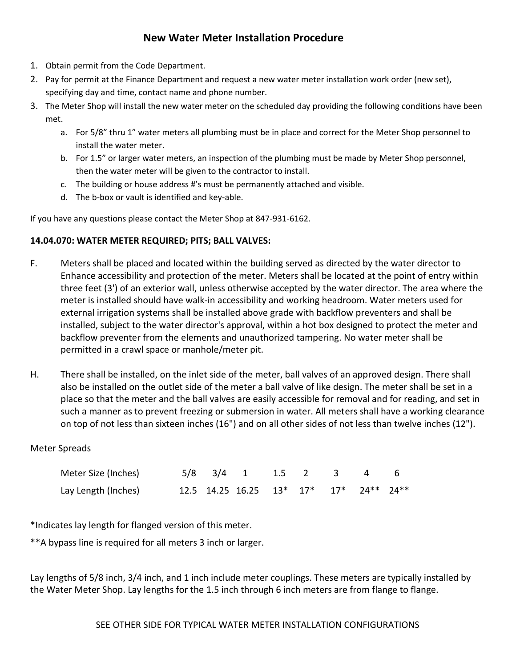## **New Water Meter Installation Procedure**

- 1. Obtain permit from the Code Department.
- 2. Pay for permit at the Finance Department and request a new water meter installation work order (new set), specifying day and time, contact name and phone number.
- 3. The Meter Shop will install the new water meter on the scheduled day providing the following conditions have been met.
	- a. For 5/8" thru 1" water meters all plumbing must be in place and correct for the Meter Shop personnel to install the water meter.
	- b. For 1.5" or larger water meters, an inspection of the plumbing must be made by Meter Shop personnel, then the water meter will be given to the contractor to install.
	- c. The building or house address #'s must be permanently attached and visible.
	- d. The b-box or vault is identified and key-able.

If you have any questions please contact the Meter Shop at 847-931-6162.

## **14.04.070: WATER METER REQUIRED; PITS; BALL VALVES:**

- F. Meters shall be placed and located within the building served as directed by the water director to Enhance accessibility and protection of the meter. Meters shall be located at the point of entry within three feet (3') of an exterior wall, unless otherwise accepted by the water director. The area where the meter is installed should have walk‐in accessibility and working headroom. Water meters used for external irrigation systems shall be installed above grade with backflow preventers and shall be installed, subject to the water director's approval, within a hot box designed to protect the meter and backflow preventer from the elements and unauthorized tampering. No water meter shall be permitted in a crawl space or manhole/meter pit.
- H. There shall be installed, on the inlet side of the meter, ball valves of an approved design. There shall also be installed on the outlet side of the meter a ball valve of like design. The meter shall be set in a place so that the meter and the ball valves are easily accessible for removal and for reading, and set in such a manner as to prevent freezing or submersion in water. All meters shall have a working clearance on top of not less than sixteen inches (16") and on all other sides of not less than twelve inches (12").

## Meter Spreads

| Meter Size (Inches) |  | $5/8$ $3/4$ 1 1.5 2 3 4 6              |  |  |  |
|---------------------|--|----------------------------------------|--|--|--|
| Lay Length (Inches) |  | 12.5 14.25 16.25 13* 17* 17* 24** 24** |  |  |  |

\*Indicates lay length for flanged version of this meter.

\*\*A bypass line is required for all meters 3 inch or larger.

Lay lengths of 5/8 inch, 3/4 inch, and 1 inch include meter couplings. These meters are typically installed by the Water Meter Shop. Lay lengths for the 1.5 inch through 6 inch meters are from flange to flange.